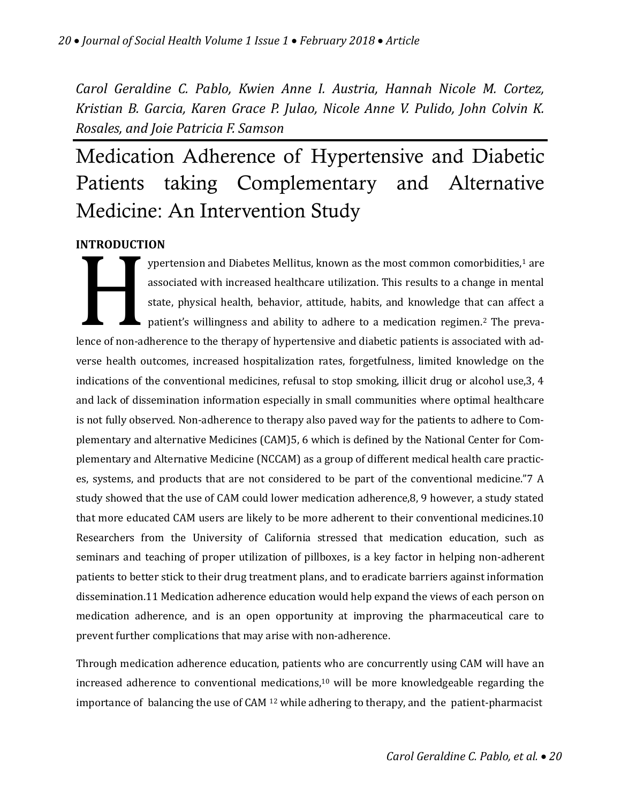*Carol Geraldine C. Pablo, Kwien Anne I. Austria, Hannah Nicole M. Cortez, Kristian B. Garcia, Karen Grace P. Julao, Nicole Anne V. Pulido, John Colvin K. Rosales, and Joie Patricia F. Samson*

# Medication Adherence of Hypertensive and Diabetic Patients taking Complementary and Alternative Medicine: An Intervention Study

# **INTRODUCTION**

**HATRODUCTI**<br> **Hence of non-ac** ypertension and Diabetes Mellitus, known as the most common comorbidities,<sup>1</sup> are associated with increased healthcare utilization. This results to a change in mental state, physical health, behavior, attitude, habits, and knowledge that can affect a patient's willingness and ability to adhere to a medication regimen.<sup>2</sup> The prevalence of non-adherence to the therapy of hypertensive and diabetic patients is associated with adverse health outcomes, increased hospitalization rates, forgetfulness, limited knowledge on the indications of the conventional medicines, refusal to stop smoking, illicit drug or alcohol use,3, 4 and lack of dissemination information especially in small communities where optimal healthcare is not fully observed. Non-adherence to therapy also paved way for the patients to adhere to Complementary and alternative Medicines (CAM)5, 6 which is defined by the National Center for Complementary and Alternative Medicine (NCCAM) as a group of different medical health care practices, systems, and products that are not considered to be part of the conventional medicine."7 A study showed that the use of CAM could lower medication adherence,8, 9 however, a study stated that more educated CAM users are likely to be more adherent to their conventional medicines.10 Researchers from the University of California stressed that medication education, such as seminars and teaching of proper utilization of pillboxes, is a key factor in helping non-adherent patients to better stick to their drug treatment plans, and to eradicate barriers against information dissemination.11 Medication adherence education would help expand the views of each person on medication adherence, and is an open opportunity at improving the pharmaceutical care to prevent further complications that may arise with non-adherence.

Through medication adherence education, patients who are concurrently using CAM will have an increased adherence to conventional medications,<sup>10</sup> will be more knowledgeable regarding the importance of balancing the use of CAM <sup>12</sup> while adhering to therapy, and the patient-pharmacist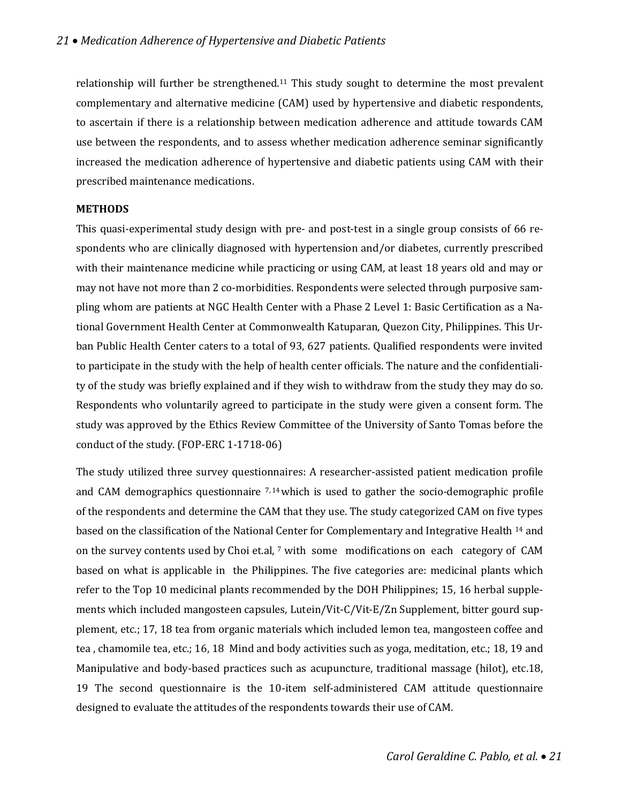relationship will further be strengthened.<sup>11</sup> This study sought to determine the most prevalent complementary and alternative medicine (CAM) used by hypertensive and diabetic respondents, to ascertain if there is a relationship between medication adherence and attitude towards CAM use between the respondents, and to assess whether medication adherence seminar significantly increased the medication adherence of hypertensive and diabetic patients using CAM with their prescribed maintenance medications.

#### **METHODS**

This quasi-experimental study design with pre- and post-test in a single group consists of 66 respondents who are clinically diagnosed with hypertension and/or diabetes, currently prescribed with their maintenance medicine while practicing or using CAM, at least 18 years old and may or may not have not more than 2 co-morbidities. Respondents were selected through purposive sampling whom are patients at NGC Health Center with a Phase 2 Level 1: Basic Certification as a National Government Health Center at Commonwealth Katuparan, Quezon City, Philippines. This Urban Public Health Center caters to a total of 93, 627 patients. Qualified respondents were invited to participate in the study with the help of health center officials. The nature and the confidentiality of the study was briefly explained and if they wish to withdraw from the study they may do so. Respondents who voluntarily agreed to participate in the study were given a consent form. The study was approved by the Ethics Review Committee of the University of Santo Tomas before the conduct of the study. (FOP-ERC 1-1718-06)

The study utilized three survey questionnaires: A researcher-assisted patient medication profile and CAM demographics questionnaire  $7.14$  which is used to gather the socio-demographic profile of the respondents and determine the CAM that they use. The study categorized CAM on five types based on the classification of the National Center for Complementary and Integrative Health <sup>14</sup> and on the survey contents used by Choi et.al, <sup>7</sup> with some modifications on each category of CAM based on what is applicable in the Philippines. The five categories are: medicinal plants which refer to the Top 10 medicinal plants recommended by the DOH Philippines; 15, 16 herbal supplements which included mangosteen capsules, Lutein/Vit-C/Vit-E/Zn Supplement, bitter gourd supplement, etc.; 17, 18 tea from organic materials which included lemon tea, mangosteen coffee and tea , chamomile tea, etc.; 16, 18 Mind and body activities such as yoga, meditation, etc.; 18, 19 and Manipulative and body-based practices such as acupuncture, traditional massage (hilot), etc.18, 19 The second questionnaire is the 10-item self-administered CAM attitude questionnaire designed to evaluate the attitudes of the respondents towards their use of CAM.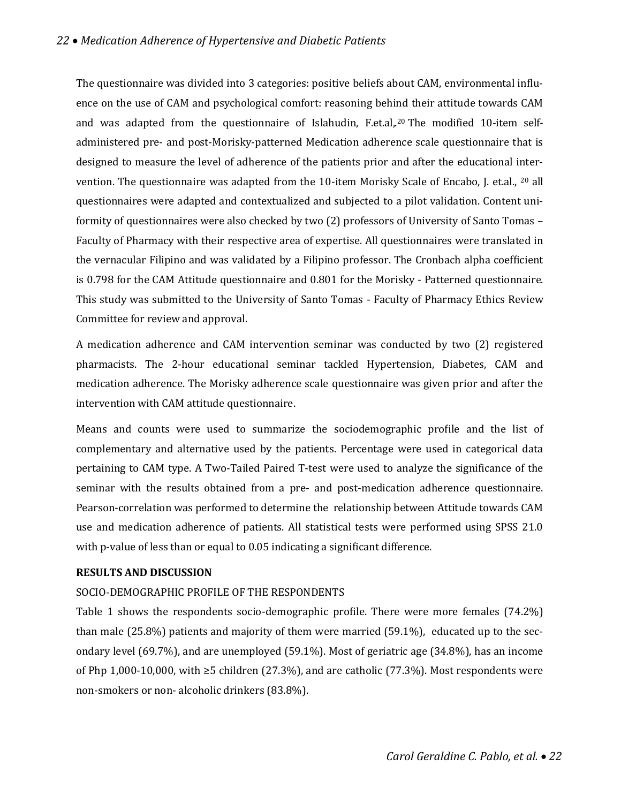The questionnaire was divided into 3 categories: positive beliefs about CAM, environmental influence on the use of CAM and psychological comfort: reasoning behind their attitude towards CAM and was adapted from the questionnaire of Islahudin, F.et.al,.<sup>20</sup> The modified 10-item selfadministered pre- and post-Morisky-patterned Medication adherence scale questionnaire that is designed to measure the level of adherence of the patients prior and after the educational intervention. The questionnaire was adapted from the 10-item Morisky Scale of Encabo, J. et.al., <sup>20</sup> all questionnaires were adapted and contextualized and subjected to a pilot validation. Content uniformity of questionnaires were also checked by two (2) professors of University of Santo Tomas – Faculty of Pharmacy with their respective area of expertise. All questionnaires were translated in the vernacular Filipino and was validated by a Filipino professor. The Cronbach alpha coefficient is 0.798 for the CAM Attitude questionnaire and 0.801 for the Morisky - Patterned questionnaire. This study was submitted to the University of Santo Tomas - Faculty of Pharmacy Ethics Review Committee for review and approval.

A medication adherence and CAM intervention seminar was conducted by two (2) registered pharmacists. The 2-hour educational seminar tackled Hypertension, Diabetes, CAM and medication adherence. The Morisky adherence scale questionnaire was given prior and after the intervention with CAM attitude questionnaire.

Means and counts were used to summarize the sociodemographic profile and the list of complementary and alternative used by the patients. Percentage were used in categorical data pertaining to CAM type. A Two-Tailed Paired T-test were used to analyze the significance of the seminar with the results obtained from a pre- and post-medication adherence questionnaire. Pearson-correlation was performed to determine the relationship between Attitude towards CAM use and medication adherence of patients. All statistical tests were performed using SPSS 21.0 with p-value of less than or equal to 0.05 indicating a significant difference.

#### **RESULTS AND DISCUSSION**

#### SOCIO-DEMOGRAPHIC PROFILE OF THE RESPONDENTS

Table 1 shows the respondents socio-demographic profile. There were more females (74.2%) than male (25.8%) patients and majority of them were married (59.1%), educated up to the secondary level (69.7%), and are unemployed (59.1%). Most of geriatric age (34.8%), has an income of Php 1,000-10,000, with ≥5 children (27.3%), and are catholic (77.3%). Most respondents were non-smokers or non- alcoholic drinkers (83.8%).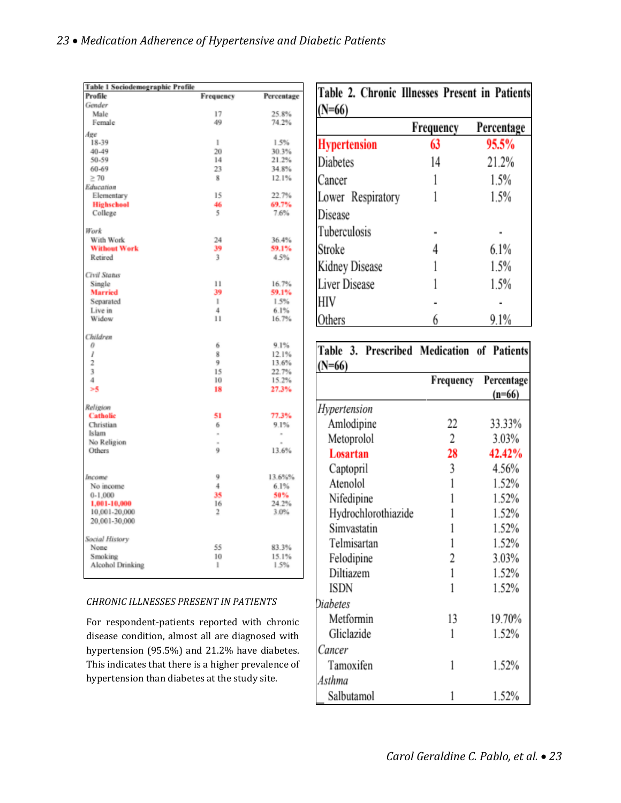| <b>Table 1 Sociodemographic Profile</b> |                |                          |  |  |
|-----------------------------------------|----------------|--------------------------|--|--|
| Profile                                 | Frequency      | Percentage               |  |  |
| Gender                                  |                |                          |  |  |
| Male                                    | 17             | 25.8%                    |  |  |
| Female                                  | 49             | 74.2%                    |  |  |
| Age                                     |                |                          |  |  |
| 18-39                                   | ı              | 1.5%                     |  |  |
| 40-49                                   | 20             | 30.3%                    |  |  |
| 50-59                                   | 14             | 21.2%                    |  |  |
| 60-69                                   | 23             | 34.8%                    |  |  |
| $\geq 70$                               | 8              | 12.1%                    |  |  |
| Education                               |                |                          |  |  |
| Elementary                              | 15             | 22.7%                    |  |  |
| <b>Highschool</b>                       | 46             | 69.7%                    |  |  |
| College                                 | 5              | 7.6%                     |  |  |
| Work                                    |                |                          |  |  |
| With Work                               | 24             | 36.4%                    |  |  |
| <b>Without Work</b>                     | 39             | 59.1%                    |  |  |
| Retired                                 | 3              | 4.5%                     |  |  |
| Civil Status                            |                |                          |  |  |
| Single                                  | 11             | 16.7%                    |  |  |
| <b>Married</b>                          | 39             | 59.1%                    |  |  |
| Separated                               | 1              | 1.5%                     |  |  |
| Live in                                 | $\overline{4}$ | 6.1%                     |  |  |
| Widow                                   | $\mathbf{1}$   | 16.7%                    |  |  |
| Children                                |                |                          |  |  |
| 0                                       | 6              | 9.1%                     |  |  |
| l<br>$\overline{c}$                     | 8<br>9         | 12.1%                    |  |  |
| 3                                       | 15             | 13.6%<br>22.7%           |  |  |
| 4                                       | 10             | 15.2%                    |  |  |
| >5                                      | 18             | 27.3%                    |  |  |
|                                         |                |                          |  |  |
| Religion<br><b>Catholic</b>             | 51             | 77.3%                    |  |  |
| Christian                               | 6              | 9.1%                     |  |  |
| Islam                                   | ۰              | $\overline{\phantom{a}}$ |  |  |
| No Religion                             | $\sim$         | $\sim$                   |  |  |
| Others                                  | 9              | 13.6%                    |  |  |
|                                         |                |                          |  |  |
| Income                                  | 9              | 13.6%%                   |  |  |
| No income                               | $\overline{4}$ | 6.1%                     |  |  |
| $0-1.000$                               | 35             | 50%                      |  |  |
| 1,001-10,000                            | 16             | 24.2%                    |  |  |
| 10,001-20,000                           | $\overline{2}$ | 3.0%                     |  |  |
| 20.001-30,000                           |                |                          |  |  |
| Social History                          |                |                          |  |  |
| None                                    | 55             | 83.3%                    |  |  |
| Smoking                                 | 10             | 15.1%                    |  |  |
| Alcohol Drinking                        | $\mathbf{I}$   | 1.5%                     |  |  |
|                                         |                |                          |  |  |

#### *CHRONIC ILLNESSES PRESENT IN PATIENTS*

For respondent-patients reported with chronic disease condition, almost all are diagnosed with hypertension (95.5%) and 21.2% have diabetes. This indicates that there is a higher prevalence of hypertension than diabetes at the study site.

| Table 2. Chronic Illnesses Present in Patients |           |            |  |  |
|------------------------------------------------|-----------|------------|--|--|
| $(N=66)$                                       |           |            |  |  |
|                                                | Frequency | Percentage |  |  |
| <b>Hypertension</b>                            | 63        | 95.5%      |  |  |
| Diabetes                                       | 14        | 21.2%      |  |  |
| Cancer                                         |           | 1.5%       |  |  |
| Lower Respiratory                              |           | 1.5%       |  |  |
| Disease                                        |           |            |  |  |
| Tuberculosis                                   |           |            |  |  |
| Stroke                                         |           | 6.1%       |  |  |
| Kidney Disease                                 |           | 1.5%       |  |  |
| Liver Disease                                  |           | 1.5%       |  |  |
| HIV                                            |           |            |  |  |
| Others                                         |           | 9.1%       |  |  |

| Table 3. Prescribed Medication of Patients<br>N=66) |                |                        |  |  |
|-----------------------------------------------------|----------------|------------------------|--|--|
|                                                     | Frequency      | Percentage<br>$(n=66)$ |  |  |
| Hypertension                                        |                |                        |  |  |
| Amlodipine                                          | 22             | 33.33%                 |  |  |
| Metoprolol                                          | $\overline{2}$ | 3.03%                  |  |  |
| Losartan                                            | 28             | 42.42%                 |  |  |
| Captopril                                           | 3              | 4.56%                  |  |  |
| Atenolol                                            | 1              | 1.52%                  |  |  |
| Nifedipine                                          | 1              | 1.52%                  |  |  |
| Hydrochlorothiazide                                 | 1              | 1.52%                  |  |  |
| Simvastatin                                         | 1              | 1.52%                  |  |  |
| Telmisartan                                         | 1              | 1.52%                  |  |  |
| Felodipine                                          | 2              | 3.03%                  |  |  |
| Diltiazem                                           | 1              | 1.52%                  |  |  |
| ISDN                                                | 1              | 1.52%                  |  |  |
| <b>Diabetes</b>                                     |                |                        |  |  |
| Metformin                                           | 13             | 19.70%                 |  |  |
| Gliclazide                                          | 1              | 1.52%                  |  |  |
| Cancer                                              |                |                        |  |  |
| Tamoxifen                                           | 1              | 1.52%                  |  |  |
| Asthma                                              |                |                        |  |  |
| Salbutamol                                          | 1              | 1.52%                  |  |  |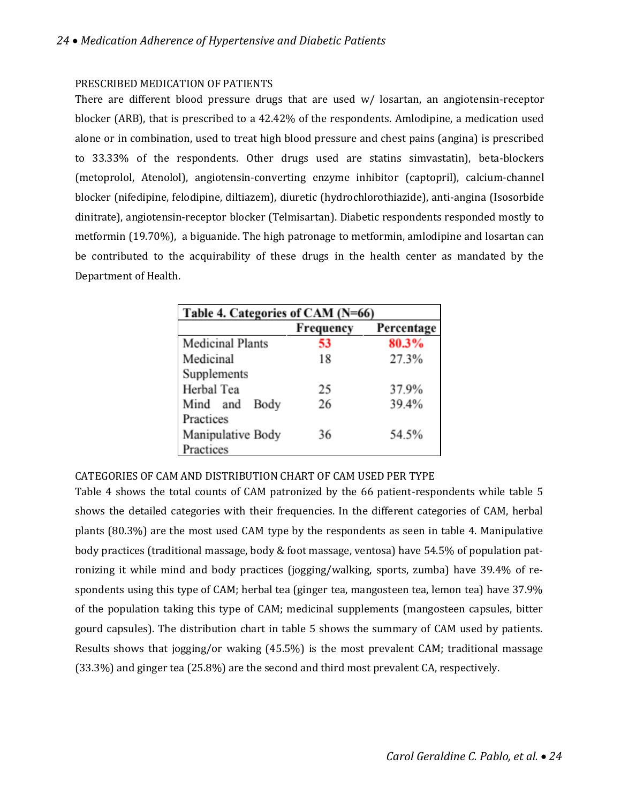# PRESCRIBED MEDICATION OF PATIENTS

There are different blood pressure drugs that are used w/ losartan, an angiotensin-receptor blocker (ARB), that is prescribed to a 42.42% of the respondents. Amlodipine, a medication used alone or in combination, used to treat high blood pressure and chest pains (angina) is prescribed to 33.33% of the respondents. Other drugs used are statins simvastatin), beta-blockers (metoprolol, Atenolol), angiotensin-converting enzyme inhibitor (captopril), calcium-channel blocker (nifedipine, felodipine, diltiazem), diuretic (hydrochlorothiazide), anti-angina (Isosorbide dinitrate), angiotensin-receptor blocker (Telmisartan). Diabetic respondents responded mostly to metformin (19.70%), a biguanide. The high patronage to metformin, amlodipine and losartan can be contributed to the acquirability of these drugs in the health center as mandated by the Department of Health.

| Table 4. Categories of CAM (N=66) |           |            |  |
|-----------------------------------|-----------|------------|--|
|                                   | Frequency | Percentage |  |
| <b>Medicinal Plants</b>           | 53        | 80.3%      |  |
| Medicinal                         | 18        | 27.3%      |  |
| Supplements                       |           |            |  |
| Herbal Tea                        | 25        | 37.9%      |  |
| Mind and<br>Body                  | 26        | 39.4%      |  |
| Practices                         |           |            |  |
| Manipulative Body                 | 36        | 54.5%      |  |
| Practices                         |           |            |  |

CATEGORIES OF CAM AND DISTRIBUTION CHART OF CAM USED PER TYPE

Table 4 shows the total counts of CAM patronized by the 66 patient-respondents while table 5 shows the detailed categories with their frequencies. In the different categories of CAM, herbal plants (80.3%) are the most used CAM type by the respondents as seen in table 4. Manipulative body practices (traditional massage, body & foot massage, ventosa) have 54.5% of population patronizing it while mind and body practices (jogging/walking, sports, zumba) have 39.4% of respondents using this type of CAM; herbal tea (ginger tea, mangosteen tea, lemon tea) have 37.9% of the population taking this type of CAM; medicinal supplements (mangosteen capsules, bitter gourd capsules). The distribution chart in table 5 shows the summary of CAM used by patients. Results shows that jogging/or waking (45.5%) is the most prevalent CAM; traditional massage (33.3%) and ginger tea (25.8%) are the second and third most prevalent CA, respectively.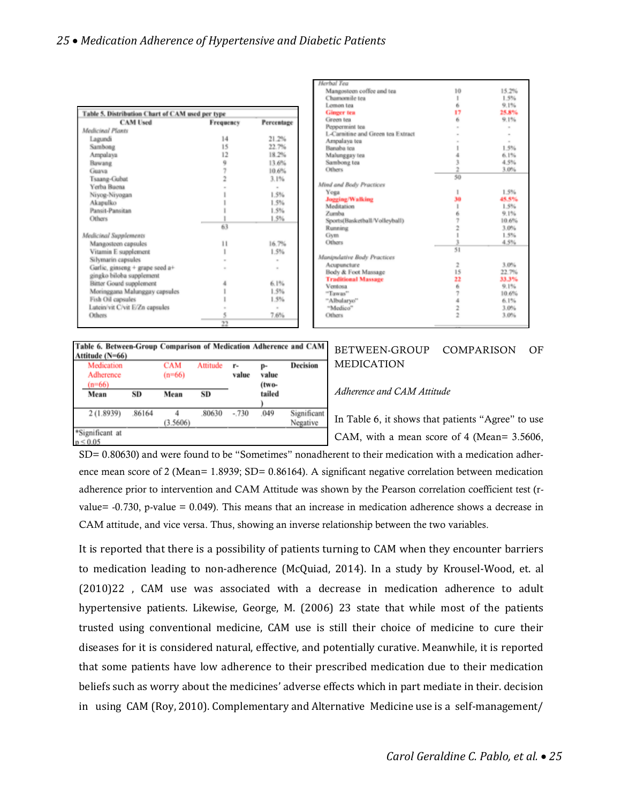| Table 5. Distribution Chart of CAM used per type<br><b>CAM Used</b> | Frequency | Percentage |
|---------------------------------------------------------------------|-----------|------------|
| Medicinal Plants                                                    |           |            |
| Lagundi                                                             | 14        | 21.2%      |
| Sambong                                                             | 15        | 22.7%      |
| Ampalaya                                                            | 12        | 18.2%      |
| Bawang                                                              | 9         | 13.6%      |
| Guava                                                               | 7         | 10.6%      |
| Tsaang-Gubat                                                        |           | 3.1%       |
| Yerba Baena                                                         |           | $\sim$     |
| Niyog-Niyogan                                                       |           | 1.5%       |
| Akapulko                                                            |           | 1.5%       |
| Pansit-Pansitan                                                     |           | 1.5%       |
| Others                                                              |           | 1.5%       |
|                                                                     | 63        |            |
| Medicinal Supplements                                               |           |            |
| Mangosteen capsules                                                 | 11        | 16.7%      |
| Vitamin E supplement                                                |           | 1.5%       |
| Silymarin capsules                                                  |           |            |
| Garlic, ginseng + grape seed a+                                     |           |            |
| gingko biloba supplement                                            |           |            |
| Bitter Gourd supplement                                             |           | 6.1%       |
| Moringgana Malunggay capsules                                       |           | 1.5%       |
| Fish Oil capsules                                                   |           | 1.5%       |
| Lutein/vit C/vit E/Zn capsules                                      |           | $\alpha$   |
| <b>Others</b>                                                       | 5         | 7.6%       |
|                                                                     | $^{22}$   |            |

| Herbal Tea                        |                |        |
|-----------------------------------|----------------|--------|
| Mangosteen coffee and tea         | 10             | 15.2%  |
| Chamomile tea                     | 1              | 1.5%   |
| Lemon tea                         | 6              | 9.1%   |
| <b>Ginger</b> tea                 | 17             | 25.8%  |
| Green tea                         | 6              | 9.1%   |
| Peppermint tea                    |                |        |
| L-Carnitine and Green tea Extract |                |        |
| Ampalaya tea                      | $\sim$         | $\sim$ |
| Banaba tea                        |                | 1.5%   |
| Malunggay tea                     | 4              | 6.1%   |
| Sambong tea                       | $\frac{3}{2}$  | 4.5%   |
| Others                            |                | 3.0%   |
|                                   | 50             |        |
| Mind and Body Practices           |                |        |
| Yoga                              | 1              | 1.5%   |
| <b>Jogging/Walking</b>            | 30             | 45.5%  |
| Meditation                        | 1              | 1.5%   |
| Zumba                             | $\frac{6}{7}$  | 9.1%   |
| Sports(Basketball/Volleyball)     |                | 10.6%  |
| Running                           | $\frac{1}{1}$  | 3.0%   |
| Gym                               |                | 1.5%   |
| Others                            | 3              | 4.5%   |
|                                   | 51             |        |
| Manipulative Body Practices       |                |        |
| Acupuncture                       | $\overline{2}$ | 3.0%   |
| Body & Foot Massage               | 15             | 22.7%  |
| <b>Traditional Massage</b>        | 22             | 33.3%  |
| Ventosa                           | 6              | 9.1%   |
| "Tawas"                           | 7422           | 10.6%  |
| "Albularyo"                       |                | 6.1%   |
| "Medico"                          |                | 3.0%   |
| Others                            |                | 3.0%   |
|                                   |                |        |

| Table 6. Between-Group Comparison of Medication Adherence and CAM<br>Attitude (N=66) |       |                        |          |             |                      |                         |
|--------------------------------------------------------------------------------------|-------|------------------------|----------|-------------|----------------------|-------------------------|
| Medication<br>Adherence<br>$(n=66)$                                                  |       | <b>CAM</b><br>$(n=66)$ | Attitude | r-<br>value | p-<br>value<br>(two- | <b>Decision</b>         |
| Mean                                                                                 | SD    | Mean                   | SD       |             | tailed               |                         |
| 2(1.8939)                                                                            | 86164 | (3.5606)               | 80630    | $-730$      | .049                 | Significant<br>Negative |
| *Significant at<br>$p \le 0.05$                                                      |       |                        |          |             |                      |                         |

#### BETWEEN-GROUP COMPARISON OF MEDICATION

#### *Adherence and CAM Attitude*

In Table 6, it shows that patients "Agree" to use CAM, with a mean score of 4 (Mean= 3.5606,

SD= 0.80630) and were found to be "Sometimes" nonadherent to their medication with a medication adherence mean score of 2 (Mean= 1.8939; SD= 0.86164). A significant negative correlation between medication adherence prior to intervention and CAM Attitude was shown by the Pearson correlation coefficient test (rvalue= -0.730, p-value = 0.049). This means that an increase in medication adherence shows a decrease in CAM attitude, and vice versa. Thus, showing an inverse relationship between the two variables.

It is reported that there is a possibility of patients turning to CAM when they encounter barriers to medication leading to non-adherence (McQuiad, 2014). In a study by Krousel-Wood, et. al (2010)22 , CAM use was associated with a decrease in medication adherence to adult hypertensive patients. Likewise, George, M. (2006) 23 state that while most of the patients trusted using conventional medicine, CAM use is still their choice of medicine to cure their diseases for it is considered natural, effective, and potentially curative. Meanwhile, it is reported that some patients have low adherence to their prescribed medication due to their medication beliefs such as worry about the medicines' adverse effects which in part mediate in their. decision in using CAM (Roy, 2010). Complementary and Alternative Medicine use is a self-management/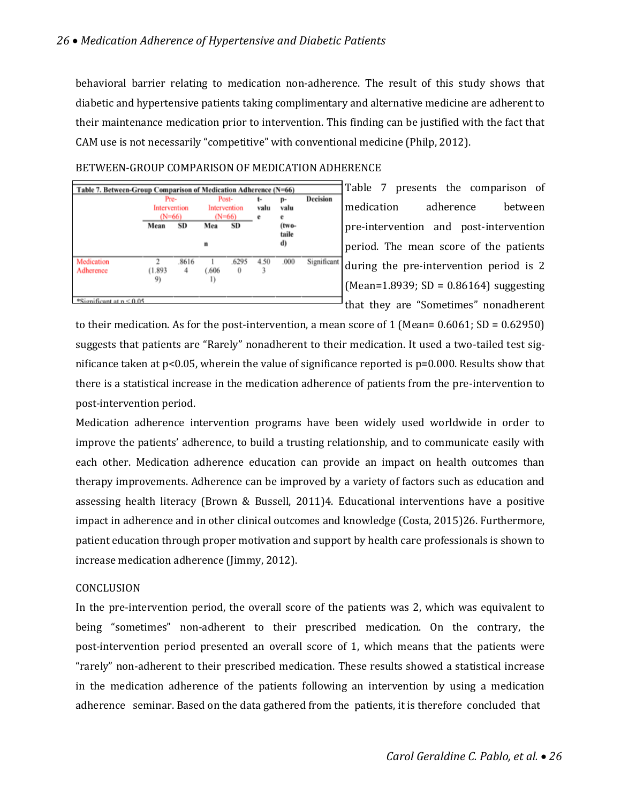behavioral barrier relating to medication non-adherence. The result of this study shows that diabetic and hypertensive patients taking complimentary and alternative medicine are adherent to their maintenance medication prior to intervention. This finding can be justified with the fact that CAM use is not necessarily "competitive" with conventional medicine (Philp, 2012).

# BETWEEN-GROUP COMPARISON OF MEDICATION ADHERENCE



Table 7 presents the comparison of medication adherence between pre-intervention and post-intervention period. The mean score of the patients during the pre-intervention period is 2  $(Mean=1.8939; SD = 0.86164)$  suggesting that they are "Sometimes" nonadherent

to their medication. As for the post-intervention, a mean score of 1 (Mean=  $0.6061$ ; SD =  $0.62950$ ) suggests that patients are "Rarely" nonadherent to their medication. It used a two-tailed test significance taken at  $p<0.05$ , wherein the value of significance reported is  $p=0.000$ . Results show that there is a statistical increase in the medication adherence of patients from the pre-intervention to post-intervention period.

Medication adherence intervention programs have been widely used worldwide in order to improve the patients' adherence, to build a trusting relationship, and to communicate easily with each other. Medication adherence education can provide an impact on health outcomes than therapy improvements. Adherence can be improved by a variety of factors such as education and assessing health literacy (Brown & Bussell, 2011)4. Educational interventions have a positive impact in adherence and in other clinical outcomes and knowledge (Costa, 2015)26. Furthermore, patient education through proper motivation and support by health care professionals is shown to increase medication adherence (Jimmy, 2012).

# CONCLUSION

In the pre-intervention period, the overall score of the patients was 2, which was equivalent to being "sometimes" non-adherent to their prescribed medication. On the contrary, the post-intervention period presented an overall score of 1, which means that the patients were "rarely" non-adherent to their prescribed medication. These results showed a statistical increase in the medication adherence of the patients following an intervention by using a medication adherence seminar. Based on the data gathered from the patients, it is therefore concluded that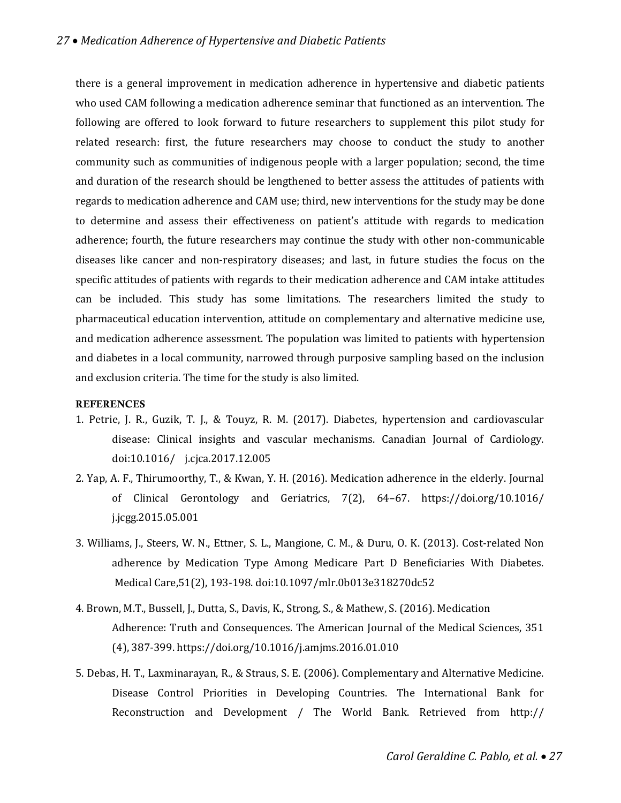there is a general improvement in medication adherence in hypertensive and diabetic patients who used CAM following a medication adherence seminar that functioned as an intervention. The following are offered to look forward to future researchers to supplement this pilot study for related research: first, the future researchers may choose to conduct the study to another community such as communities of indigenous people with a larger population; second, the time and duration of the research should be lengthened to better assess the attitudes of patients with regards to medication adherence and CAM use; third, new interventions for the study may be done to determine and assess their effectiveness on patient's attitude with regards to medication adherence; fourth, the future researchers may continue the study with other non-communicable diseases like cancer and non-respiratory diseases; and last, in future studies the focus on the specific attitudes of patients with regards to their medication adherence and CAM intake attitudes can be included. This study has some limitations. The researchers limited the study to pharmaceutical education intervention, attitude on complementary and alternative medicine use, and medication adherence assessment. The population was limited to patients with hypertension and diabetes in a local community, narrowed through purposive sampling based on the inclusion and exclusion criteria. The time for the study is also limited.

#### **REFERENCES**

- 1. Petrie, J. R., Guzik, T. J., & Touyz, R. M. (2017). Diabetes, hypertension and cardiovascular disease: Clinical insights and vascular mechanisms. Canadian Journal of Cardiology. doi:10.1016/ j.cjca.2017.12.005
- 2. Yap, A. F., Thirumoorthy, T., & Kwan, Y. H. (2016). Medication adherence in the elderly. Journal of Clinical Gerontology and Geriatrics, 7(2), 64–67. https://doi.org/10.1016/ j.jcgg.2015.05.001
- 3. Williams, J., Steers, W. N., Ettner, S. L., Mangione, C. M., & Duru, O. K. (2013). Cost-related Non adherence by Medication Type Among Medicare Part D Beneficiaries With Diabetes. Medical Care,51(2), 193-198. doi:10.1097/mlr.0b013e318270dc52
- 4. Brown, M.T., Bussell, J., Dutta, S., Davis, K., Strong, S., & Mathew, S. (2016). Medication Adherence: Truth and Consequences. The American Journal of the Medical Sciences, 351 (4), 387-399. https://doi.org/10.1016/j.amjms.2016.01.010
- 5. Debas, H. T., Laxminarayan, R., & Straus, S. E. (2006). Complementary and Alternative Medicine. Disease Control Priorities in Developing Countries. The International Bank for Reconstruction and Development / The World Bank. Retrieved from http://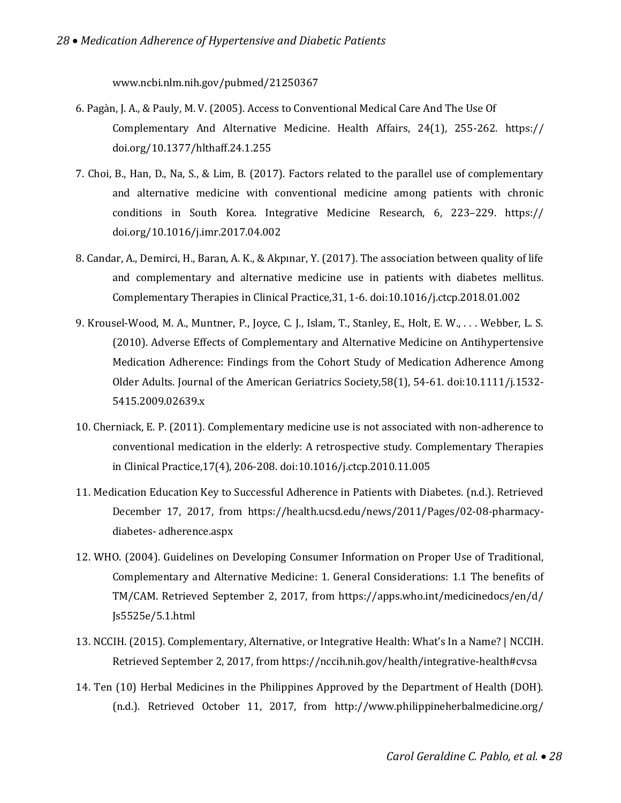www.ncbi.nlm.nih.gov/pubmed/21250367

- 6. Pagàn, J. A., & Pauly, M. V. (2005). Access to Conventional Medical Care And The Use Of Complementary And Alternative Medicine. Health Affairs, 24(1), 255-262. https:// doi.org/10.1377/hlthaff.24.1.255
- 7. Choi, B., Han, D., Na, S., & Lim, B. (2017). Factors related to the parallel use of complementary and alternative medicine with conventional medicine among patients with chronic conditions in South Korea. Integrative Medicine Research, 6, 223–229. https:// doi.org/10.1016/j.imr.2017.04.002
- 8. Candar, A., Demirci, H., Baran, A. K., & Akpınar, Y. (2017). The association between quality of life and complementary and alternative medicine use in patients with diabetes mellitus. Complementary Therapies in Clinical Practice,31, 1-6. doi:10.1016/j.ctcp.2018.01.002
- 9. Krousel-Wood, M. A., Muntner, P., Joyce, C. J., Islam, T., Stanley, E., Holt, E. W., . . . Webber, L. S. (2010). Adverse Effects of Complementary and Alternative Medicine on Antihypertensive Medication Adherence: Findings from the Cohort Study of Medication Adherence Among Older Adults. Journal of the American Geriatrics Society,58(1), 54-61. doi:10.1111/j.1532- 5415.2009.02639.x
- 10. Cherniack, E. P. (2011). Complementary medicine use is not associated with non-adherence to conventional medication in the elderly: A retrospective study. Complementary Therapies in Clinical Practice,17(4), 206-208. doi:10.1016/j.ctcp.2010.11.005
- 11. Medication Education Key to Successful Adherence in Patients with Diabetes. (n.d.). Retrieved December 17, 2017, from https://health.ucsd.edu/news/2011/Pages/02-08-pharmacydiabetes- adherence.aspx
- 12. WHO. (2004). Guidelines on Developing Consumer Information on Proper Use of Traditional, Complementary and Alternative Medicine: 1. General Considerations: 1.1 The benefits of TM/CAM. Retrieved September 2, 2017, from https://apps.who.int/medicinedocs/en/d/ Js5525e/5.1.html
- 13. NCCIH. (2015). Complementary, Alternative, or Integrative Health: What's In a Name? | NCCIH. Retrieved September 2, 2017, from https://nccih.nih.gov/health/integrative-health#cvsa
- 14. Ten (10) Herbal Medicines in the Philippines Approved by the Department of Health (DOH). (n.d.). Retrieved October 11, 2017, from http://www.philippineherbalmedicine.org/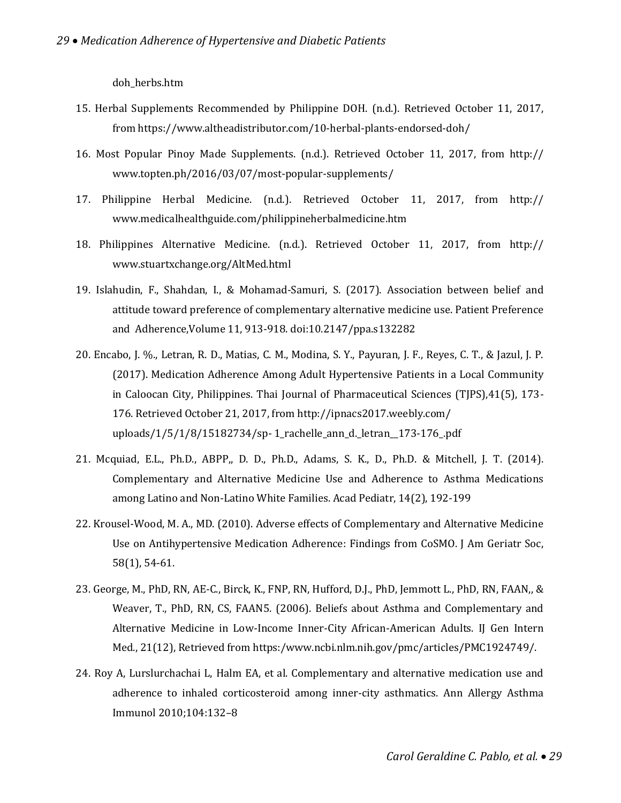doh\_herbs.htm

- 15. Herbal Supplements Recommended by Philippine DOH. (n.d.). Retrieved October 11, 2017, from https://www.altheadistributor.com/10-herbal-plants-endorsed-doh/
- 16. Most Popular Pinoy Made Supplements. (n.d.). Retrieved October 11, 2017, from http:// www.topten.ph/2016/03/07/most-popular-supplements/
- 17. Philippine Herbal Medicine. (n.d.). Retrieved October 11, 2017, from http:// www.medicalhealthguide.com/philippineherbalmedicine.htm
- 18. Philippines Alternative Medicine. (n.d.). Retrieved October 11, 2017, from http:// www.stuartxchange.org/AltMed.html
- 19. Islahudin, F., Shahdan, I., & Mohamad-Samuri, S. (2017). Association between belief and attitude toward preference of complementary alternative medicine use. Patient Preference and Adherence,Volume 11, 913-918. doi:10.2147/ppa.s132282
- 20. Encabo, J. %., Letran, R. D., Matias, C. M., Modina, S. Y., Payuran, J. F., Reyes, C. T., & Jazul, J. P. (2017). Medication Adherence Among Adult Hypertensive Patients in a Local Community in Caloocan City, Philippines. Thai Journal of Pharmaceutical Sciences (TJPS),41(5), 173- 176. Retrieved October 21, 2017, from http://ipnacs2017.weebly.com/ uploads/1/5/1/8/15182734/sp- 1\_rachelle\_ann\_d.\_letran\_\_173-176\_.pdf
- 21. Mcquiad, E.L., Ph.D., ABPP,, D. D., Ph.D., Adams, S. K., D., Ph.D. & Mitchell, J. T. (2014). Complementary and Alternative Medicine Use and Adherence to Asthma Medications among Latino and Non-Latino White Families. Acad Pediatr, 14(2), 192-199
- 22. Krousel-Wood, M. A., MD. (2010). Adverse effects of Complementary and Alternative Medicine Use on Antihypertensive Medication Adherence: Findings from CoSMO. J Am Geriatr Soc, 58(1), 54-61.
- 23. George, M., PhD, RN, AE-C., Birck, K., FNP, RN, Hufford, D.J., PhD, Jemmott L., PhD, RN, FAAN,, & Weaver, T., PhD, RN, CS, FAAN5. (2006). Beliefs about Asthma and Complementary and Alternative Medicine in Low-Income Inner-City African-American Adults. IJ Gen Intern Med., 21(12), Retrieved from https:/www.ncbi.nlm.nih.gov/pmc/articles/PMC1924749/.
- 24. Roy A, Lurslurchachai L, Halm EA, et al. Complementary and alternative medication use and adherence to inhaled corticosteroid among inner-city asthmatics. Ann Allergy Asthma Immunol 2010;104:132–8